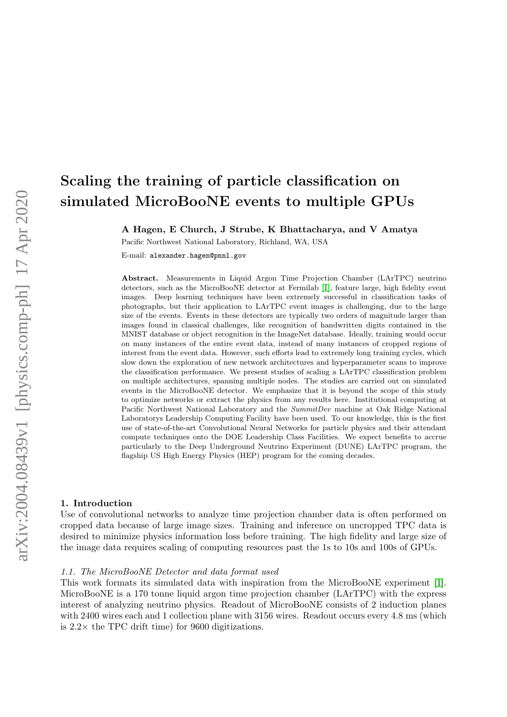# Scaling the training of particle classification on simulated MicroBooNE events to multiple GPUs

A Hagen, E Church, J Strube, K Bhattacharya, and V Amatya

Pacific Northwest National Laboratory, Richland, WA, USA

E-mail: alexander.hagen@pnnl.gov

Abstract. Measurements in Liquid Argon Time Projection Chamber (LArTPC) neutrino detectors, such as the MicroBooNE detector at Fermilab [\[1\]](#page-5-0), feature large, high fidelity event images. Deep learning techniques have been extremely successful in classification tasks of photographs, but their application to LArTPC event images is challenging, due to the large size of the events. Events in these detectors are typically two orders of magnitude larger than images found in classical challenges, like recognition of handwritten digits contained in the MNIST database or object recognition in the ImageNet database. Ideally, training would occur on many instances of the entire event data, instead of many instances of cropped regions of interest from the event data. However, such efforts lead to extremely long training cycles, which slow down the exploration of new network architectures and hyperparameter scans to improve the classification performance. We present studies of scaling a LArTPC classification problem on multiple architectures, spanning multiple nodes. The studies are carried out on simulated events in the MicroBooNE detector. We emphasize that it is beyond the scope of this study to optimize networks or extract the physics from any results here. Institutional computing at Pacific Northwest National Laboratory and the SummitDev machine at Oak Ridge National Laboratorys Leadership Computing Facility have been used. To our knowledge, this is the first use of state-of-the-art Convolutional Neural Networks for particle physics and their attendant compute techniques onto the DOE Leadership Class Facilities. We expect benefits to accrue particularly to the Deep Underground Neutrino Experiment (DUNE) LArTPC program, the flagship US High Energy Physics (HEP) program for the coming decades.

#### 1. Introduction

Use of convolutional networks to analyze time projection chamber data is often performed on cropped data because of large image sizes. Training and inference on uncropped TPC data is desired to minimize physics information loss before training. The high fidelity and large size of the image data requires scaling of computing resources past the 1s to 10s and 100s of GPUs.

# 1.1. The MicroBooNE Detector and data format used

This work formats its simulated data with inspiration from the MicroBooNE experiment [\[1\]](#page-5-0). MicroBooNE is a 170 tonne liquid argon time projection chamber (LArTPC) with the express interest of analyzing neutrino physics. Readout of MicroBooNE consists of 2 induction planes with 2400 wires each and 1 collection plane with 3156 wires. Readout occurs every 4.8 ms (which is  $2.2 \times$  the TPC drift time) for 9600 digitizations.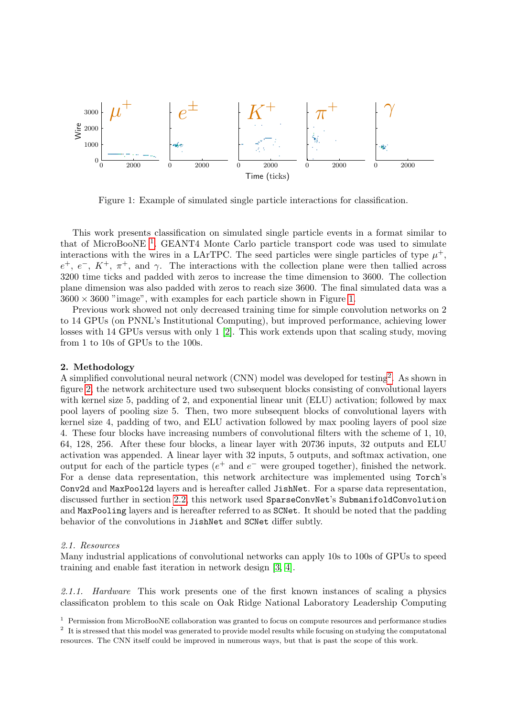<span id="page-1-1"></span>

Figure 1: Example of simulated single particle interactions for classification.

This work presents classification on simulated single particle events in a format similar to that of MicroBooNE<sup>[1](#page-1-0)</sup>. GEANT4 Monte Carlo particle transport code was used to simulate interactions with the wires in a LArTPC. The seed particles were single particles of type  $\mu^+$ ,  $e^+$ ,  $e^-$ ,  $K^+$ ,  $\pi^+$ , and  $\gamma$ . The interactions with the collection plane were then tallied across 3200 time ticks and padded with zeros to increase the time dimension to 3600. The collection plane dimension was also padded with zeros to reach size 3600. The final simulated data was a  $3600 \times 3600$  "image", with examples for each particle shown in Figure [1.](#page-1-1)

Previous work showed not only decreased training time for simple convolution networks on 2 to 14 GPUs (on PNNL's Institutional Computing), but improved performance, achieving lower losses with 14 GPUs versus with only 1 [\[2\]](#page-5-1). This work extends upon that scaling study, moving from 1 to 10s of GPUs to the 100s.

# 2. Methodology

A simplified convolutional neural network (CNN) model was developed for testing<sup>[2](#page-1-2)</sup>. As shown in figure [2,](#page-2-0) the network architecture used two subsequent blocks consisting of convolutional layers with kernel size 5, padding of 2, and exponential linear unit (ELU) activation; followed by max pool layers of pooling size 5. Then, two more subsequent blocks of convolutional layers with kernel size 4, padding of two, and ELU activation followed by max pooling layers of pool size 4. These four blocks have increasing numbers of convolutional filters with the scheme of 1, 10, 64, 128, 256. After these four blocks, a linear layer with 20736 inputs, 32 outputs and ELU activation was appended. A linear layer with 32 inputs, 5 outputs, and softmax activation, one output for each of the particle types  $(e^+$  and  $e^-$  were grouped together), finished the network. For a dense data representation, this network architecture was implemented using Torch's Conv2d and MaxPool2d layers and is hereafter called JishNet. For a sparse data representation, discussed further in section [2.2,](#page-3-0) this network used SparseConvNet's SubmanifoldConvolution and MaxPooling layers and is hereafter referred to as SCNet. It should be noted that the padding behavior of the convolutions in JishNet and SCNet differ subtly.

# 2.1. Resources

Many industrial applications of convolutional networks can apply 10s to 100s of GPUs to speed training and enable fast iteration in network design [\[3,](#page-5-2) [4\]](#page-5-3).

2.1.1. Hardware This work presents one of the first known instances of scaling a physics classificaton problem to this scale on Oak Ridge National Laboratory Leadership Computing

<span id="page-1-0"></span><sup>&</sup>lt;sup>1</sup> Permission from MicroBooNE collaboration was granted to focus on compute resources and performance studies

<span id="page-1-2"></span><sup>&</sup>lt;sup>2</sup> It is stressed that this model was generated to provide model results while focusing on studying the computatonal resources. The CNN itself could be improved in numerous ways, but that is past the scope of this work.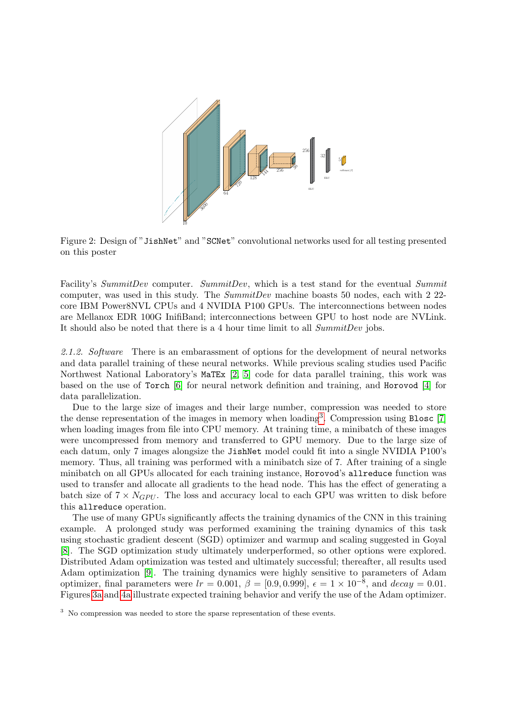<span id="page-2-0"></span>

Figure 2: Design of "JishNet" and "SCNet" convolutional networks used for all testing presented on this poster

Facility's SummitDev computer. SummitDev, which is a test stand for the eventual Summit computer, was used in this study. The  $SummitDev$  machine boasts 50 nodes, each with 2 22core IBM Power8NVL CPUs and 4 NVIDIA P100 GPUs. The interconnections between nodes are Mellanox EDR 100G InifiBand; interconnections between GPU to host node are NVLink. It should also be noted that there is a 4 hour time limit to all SummitDev jobs.

2.1.2. Software There is an embarassment of options for the development of neural networks and data parallel training of these neural networks. While previous scaling studies used Pacific Northwest National Laboratory's MaTEx [\[2,](#page-5-1) [5\]](#page-5-4) code for data parallel training, this work was based on the use of Torch [\[6\]](#page-5-5) for neural network definition and training, and Horovod [\[4\]](#page-5-3) for data parallelization.

Due to the large size of images and their large number, compression was needed to store the dense representation of the images in memory when loading<sup>[3](#page-2-1)</sup>. Compression using Blosc [\[7\]](#page-5-6) when loading images from file into CPU memory. At training time, a minibatch of these images were uncompressed from memory and transferred to GPU memory. Due to the large size of each datum, only 7 images alongsize the JishNet model could fit into a single NVIDIA P100's memory. Thus, all training was performed with a minibatch size of 7. After training of a single minibatch on all GPUs allocated for each training instance, Horovod's allreduce function was used to transfer and allocate all gradients to the head node. This has the effect of generating a batch size of  $7 \times N_{GPU}$ . The loss and accuracy local to each GPU was written to disk before this allreduce operation.

The use of many GPUs significantly affects the training dynamics of the CNN in this training example. A prolonged study was performed examining the training dynamics of this task using stochastic gradient descent (SGD) optimizer and warmup and scaling suggested in Goyal [\[8\]](#page-5-7). The SGD optimization study ultimately underperformed, so other options were explored. Distributed Adam optimization was tested and ultimately successful; thereafter, all results used Adam optimization [\[9\]](#page-5-8). The training dynamics were highly sensitive to parameters of Adam optimizer, final parameters were  $lr = 0.001$ ,  $\beta = [0.9, 0.999]$ ,  $\epsilon = 1 \times 10^{-8}$ , and  $decay = 0.01$ . Figures [3a](#page-3-1) and [4a](#page-4-0) illustrate expected training behavior and verify the use of the Adam optimizer.

<span id="page-2-1"></span><sup>&</sup>lt;sup>3</sup> No compression was needed to store the sparse representation of these events.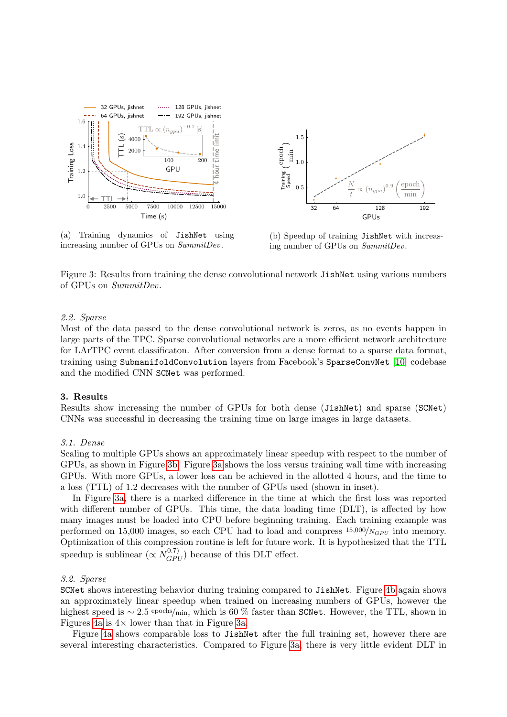<span id="page-3-1"></span>

(a) Training dynamics of JishNet using increasing number of GPUs on SummitDev.



(b) Speedup of training JishNet with increasing number of GPUs on SummitDev.

Figure 3: Results from training the dense convolutional network JishNet using various numbers of GPUs on SummitDev.

### <span id="page-3-0"></span>2.2. Sparse

Most of the data passed to the dense convolutional network is zeros, as no events happen in large parts of the TPC. Sparse convolutional networks are a more efficient network architecture for LArTPC event classificaton. After conversion from a dense format to a sparse data format, training using SubmanifoldConvolution layers from Facebook's SparseConvNet [\[10\]](#page-5-9) codebase and the modified CNN SCNet was performed.

# 3. Results

Results show increasing the number of GPUs for both dense (JishNet) and sparse (SCNet) CNNs was successful in decreasing the training time on large images in large datasets.

## 3.1. Dense

Scaling to multiple GPUs shows an approximately linear speedup with respect to the number of GPUs, as shown in Figure [3b.](#page-3-1) Figure [3a](#page-3-1) shows the loss versus training wall time with increasing GPUs. With more GPUs, a lower loss can be achieved in the allotted 4 hours, and the time to a loss (TTL) of 1.2 decreases with the number of GPUs used (shown in inset).

In Figure [3a,](#page-3-1) there is a marked difference in the time at which the first loss was reported with different number of GPUs. This time, the data loading time (DLT), is affected by how many images must be loaded into CPU before beginning training. Each training example was performed on 15,000 images, so each CPU had to load and compress  $15,000/N_{GPU}$  into memory. Optimization of this compression routine is left for future work. It is hypothesized that the TTL speedup is sublinear  $(\propto N_{GPU}^{0.7})$  because of this DLT effect.

#### 3.2. Sparse

SCNet shows interesting behavior during training compared to JishNet. Figure [4b](#page-4-0) again shows an approximately linear speedup when trained on increasing numbers of GPUs, however the highest speed is  $\sim 2.5$  epochs/min, which is 60 % faster than SCNet. However, the TTL, shown in Figures [4a](#page-4-0) is  $4 \times$  lower than that in Figure [3a.](#page-3-1)

Figure [4a](#page-4-0) shows comparable loss to JishNet after the full training set, however there are several interesting characteristics. Compared to Figure [3a,](#page-3-1) there is very little evident DLT in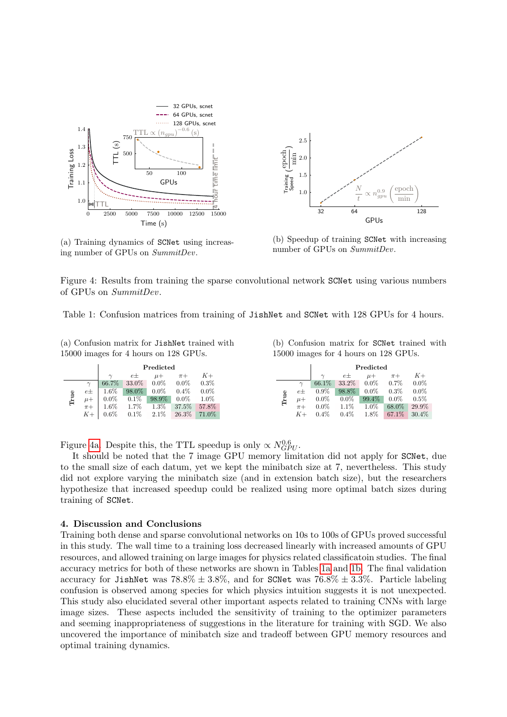<span id="page-4-0"></span>

(a) Training dynamics of SCNet using increasing number of GPUs on SummitDev.



(b) Speedup of training SCNet with increasing number of GPUs on SummitDev.

Figure 4: Results from training the sparse convolutional network SCNet using various numbers of GPUs on SummitDev.

<span id="page-4-1"></span>Table 1: Confusion matrices from training of JishNet and SCNet with 128 GPUs for 4 hours.

(a) Confusion matrix for JishNet trained with 15000 images for 4 hours on 128 GPUs.

(b) Confusion matrix for SCNet trained with 15000 images for 4 hours on 128 GPUs.

|      |           | Predicted |         |         |         |         |
|------|-----------|-----------|---------|---------|---------|---------|
|      |           | $\sim$    | $e\pm$  | $\mu +$ | $\pi +$ |         |
|      | $\sim$    | 66.7%     | 33.0%   | $0.0\%$ | $0.0\%$ | $0.3\%$ |
|      | е±        | 1.6%      | 98.0%   | $0.0\%$ | $0.4\%$ | $0.0\%$ |
| True | $\mu +$   | $0.0\%$   | $0.1\%$ | 98.9%   | $0.0\%$ | $1.0\%$ |
|      | $\pi$ +   | $1.6\%$   | 1.7%    | 1.3%    | 37.5%   | 57.8%   |
|      | $K_{\pm}$ | $0.6\%$   | $0.1\%$ | $2.1\%$ | 26.3%   | 71.0%   |

Figure [4a.](#page-4-0) Despite this, the TTL speedup is only  $\propto N_{GPU}^{0.6}$ .

It should be noted that the 7 image GPU memory limitation did not apply for SCNet, due to the small size of each datum, yet we kept the minibatch size at 7, nevertheless. This study did not explore varying the minibatch size (and in extension batch size), but the researchers hypothesize that increased speedup could be realized using more optimal batch sizes during training of SCNet.

## 4. Discussion and Conclusions

Training both dense and sparse convolutional networks on 10s to 100s of GPUs proved successful in this study. The wall time to a training loss decreased linearly with increased amounts of GPU resources, and allowed training on large images for physics related classificatoin studies. The final accuracy metrics for both of these networks are shown in Tables [1a](#page-4-1) and [1b.](#page-4-1) The final validation accuracy for JishNet was  $78.8\% \pm 3.8\%$ , and for SCNet was  $76.8\% \pm 3.3\%$ . Particle labeling confusion is observed among species for which physics intuition suggests it is not unexpected. This study also elucidated several other important aspects related to training CNNs with large image sizes. These aspects included the sensitivity of training to the optimizer parameters and seeming inappropriateness of suggestions in the literature for training with SGD. We also uncovered the importance of minibatch size and tradeoff between GPU memory resources and optimal training dynamics.